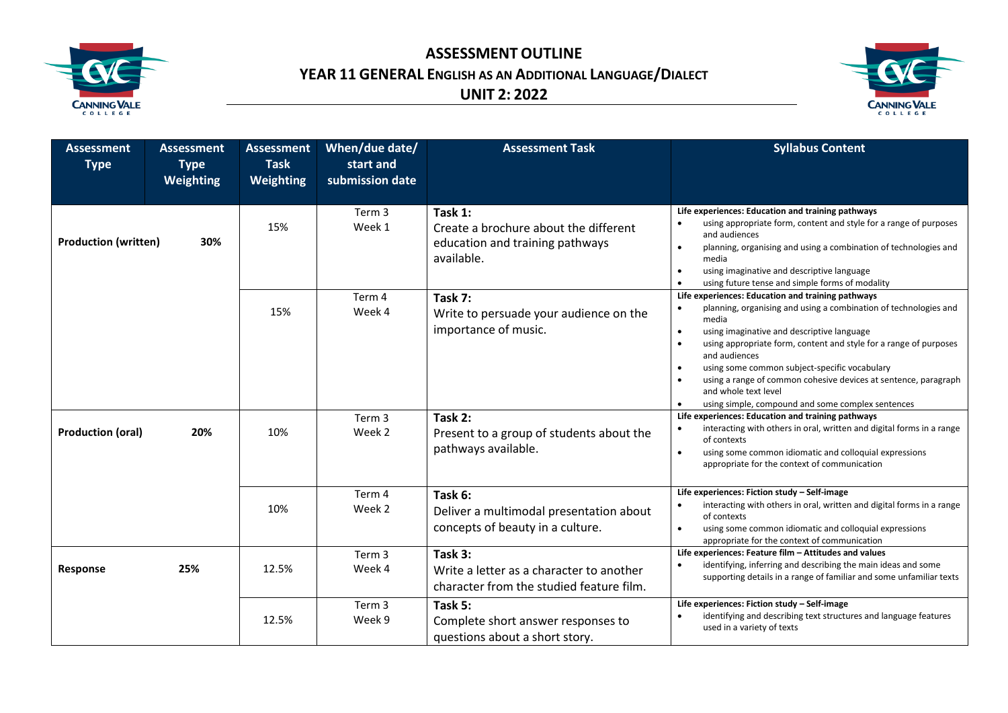

**ASSESSMENT OUTLINE YEAR 11 GENERAL ENGLISH AS AN ADDITIONAL LANGUAGE/DIALECT UNIT 2: 2022**



| <b>Assessment</b><br><b>Type</b> | <b>Assessment</b><br><b>Type</b><br>Weighting | <b>Assessment</b><br><b>Task</b><br>Weighting | When/due date/<br>start and<br>submission date | <b>Assessment Task</b>                                                                            | <b>Syllabus Content</b>                                                                                                                                                                                                                                                                                                                                                                                                                                                          |
|----------------------------------|-----------------------------------------------|-----------------------------------------------|------------------------------------------------|---------------------------------------------------------------------------------------------------|----------------------------------------------------------------------------------------------------------------------------------------------------------------------------------------------------------------------------------------------------------------------------------------------------------------------------------------------------------------------------------------------------------------------------------------------------------------------------------|
| <b>Production (written)</b>      | 30%                                           | 15%                                           | Term 3<br>Week 1                               | Task 1:<br>Create a brochure about the different<br>education and training pathways<br>available. | Life experiences: Education and training pathways<br>using appropriate form, content and style for a range of purposes<br>and audiences<br>planning, organising and using a combination of technologies and<br>media<br>using imaginative and descriptive language<br>using future tense and simple forms of modality                                                                                                                                                            |
|                                  |                                               | 15%                                           | Term 4<br>Week 4                               | Task 7:<br>Write to persuade your audience on the<br>importance of music.                         | Life experiences: Education and training pathways<br>planning, organising and using a combination of technologies and<br>media<br>using imaginative and descriptive language<br>$\bullet$<br>using appropriate form, content and style for a range of purposes<br>and audiences<br>using some common subject-specific vocabulary<br>using a range of common cohesive devices at sentence, paragraph<br>and whole text level<br>using simple, compound and some complex sentences |
| <b>Production (oral)</b>         | 20%                                           | 10%                                           | Term 3<br>Week 2                               | Task 2:<br>Present to a group of students about the<br>pathways available.                        | Life experiences: Education and training pathways<br>interacting with others in oral, written and digital forms in a range<br>of contexts<br>using some common idiomatic and colloquial expressions<br>appropriate for the context of communication                                                                                                                                                                                                                              |
|                                  |                                               | 10%                                           | Term 4<br>Week 2                               | Task 6:<br>Deliver a multimodal presentation about<br>concepts of beauty in a culture.            | Life experiences: Fiction study - Self-image<br>interacting with others in oral, written and digital forms in a range<br>of contexts<br>using some common idiomatic and colloquial expressions<br>appropriate for the context of communication                                                                                                                                                                                                                                   |
| Response                         | 25%                                           | 12.5%                                         | Term 3<br>Week 4                               | Task 3:<br>Write a letter as a character to another<br>character from the studied feature film.   | Life experiences: Feature film - Attitudes and values<br>identifying, inferring and describing the main ideas and some<br>supporting details in a range of familiar and some unfamiliar texts                                                                                                                                                                                                                                                                                    |
|                                  |                                               | 12.5%                                         | Term 3<br>Week 9                               | Task 5:<br>Complete short answer responses to<br>questions about a short story.                   | Life experiences: Fiction study - Self-image<br>identifying and describing text structures and language features<br>used in a variety of texts                                                                                                                                                                                                                                                                                                                                   |